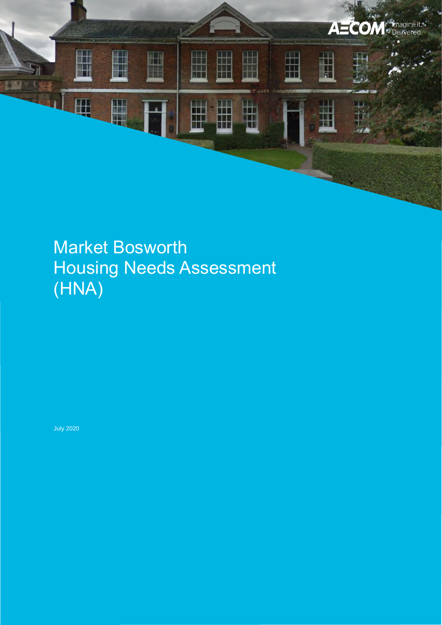

# Market Bosworth Housing Needs Assessment (HNA)

July 2020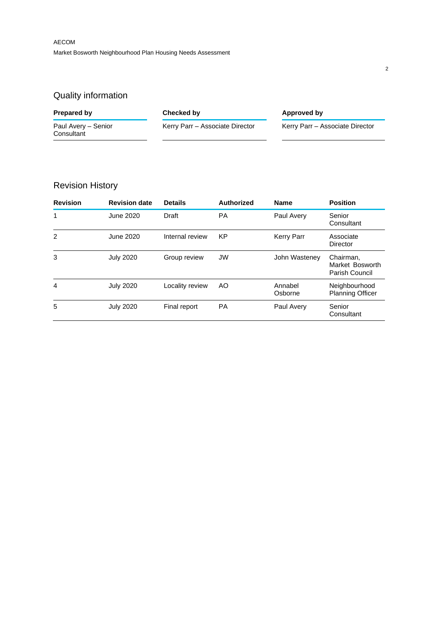## Quality information

| Prepared by                       | Checked by                      | Approved by                     |
|-----------------------------------|---------------------------------|---------------------------------|
| Paul Avery - Senior<br>Consultant | Kerry Parr - Associate Director | Kerry Parr - Associate Director |

## Revision History

| <b>Revision</b> | <b>Revision date</b> | <b>Details</b>  | Authorized | <b>Name</b>        | <b>Position</b>                                |
|-----------------|----------------------|-----------------|------------|--------------------|------------------------------------------------|
| 1               | June 2020            | Draft           | <b>PA</b>  | Paul Avery         | Senior<br>Consultant                           |
| 2               | June 2020            | Internal review | KP         | <b>Kerry Parr</b>  | Associate<br>Director                          |
| 3               | <b>July 2020</b>     | Group review    | <b>JW</b>  | John Wasteney      | Chairman,<br>Market Bosworth<br>Parish Council |
| 4               | <b>July 2020</b>     | Locality review | AO         | Annabel<br>Osborne | Neighbourhood<br><b>Planning Officer</b>       |
| 5               | <b>July 2020</b>     | Final report    | <b>PA</b>  | Paul Avery         | Senior<br>Consultant                           |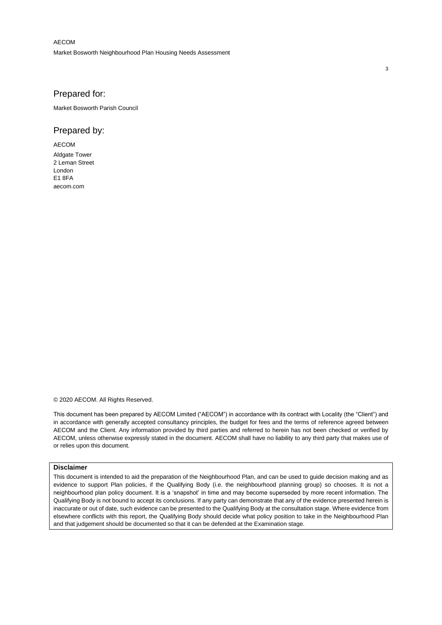AECOM Market Bosworth Neighbourhood Plan Housing Needs Assessment

#### Prepared for:

Market Bosworth Parish Council

#### Prepared by:

AECOM Aldgate Tower 2 Leman Street London  $F1$   $RFA$ aecom.com

© 2020 AECOM. All Rights Reserved.

This document has been prepared by AECOM Limited ("AECOM") in accordance with its contract with Locality (the "Client") and in accordance with generally accepted consultancy principles, the budget for fees and the terms of reference agreed between AECOM and the Client. Any information provided by third parties and referred to herein has not been checked or verified by AECOM, unless otherwise expressly stated in the document. AECOM shall have no liability to any third party that makes use of or relies upon this document.

#### **Disclaimer**

This document is intended to aid the preparation of the Neighbourhood Plan, and can be used to guide decision making and as evidence to support Plan policies, if the Qualifying Body (i.e. the neighbourhood planning group) so chooses. It is not a neighbourhood plan policy document. It is a 'snapshot' in time and may become superseded by more recent information. The Qualifying Body is not bound to accept its conclusions. If any party can demonstrate that any of the evidence presented herein is inaccurate or out of date, such evidence can be presented to the Qualifying Body at the consultation stage. Where evidence from elsewhere conflicts with this report, the Qualifying Body should decide what policy position to take in the Neighbourhood Plan and that judgement should be documented so that it can be defended at the Examination stage.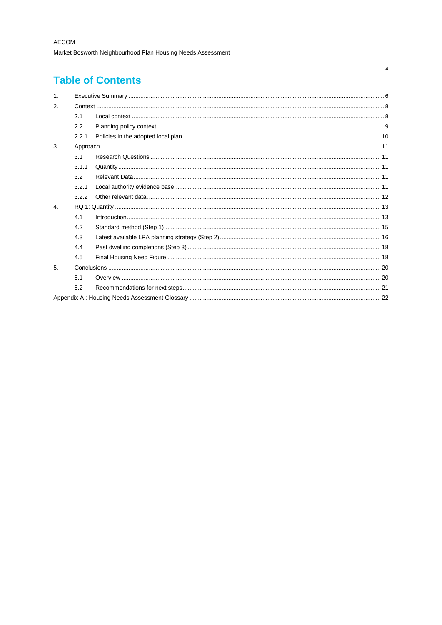## **Table of Contents**

| $\mathbf{1}$ . |       |                    |
|----------------|-------|--------------------|
| 2.             |       |                    |
|                | 2.1   |                    |
|                | 2.2   |                    |
|                | 2.2.1 |                    |
| 3.             |       |                    |
|                | 3.1   |                    |
|                | 3.1.1 |                    |
|                | 3.2   |                    |
|                | 3.2.1 |                    |
|                | 3.2.2 |                    |
| 4.             |       |                    |
|                | 4.1   | $Introduction 133$ |
|                | 4.2   |                    |
|                | 4.3   |                    |
|                | 4.4   |                    |
|                | 4.5   |                    |
| 5.             |       |                    |
|                | 5.1   |                    |
|                | 5.2   |                    |
|                |       |                    |
|                |       |                    |

 $\overline{\mathbf{4}}$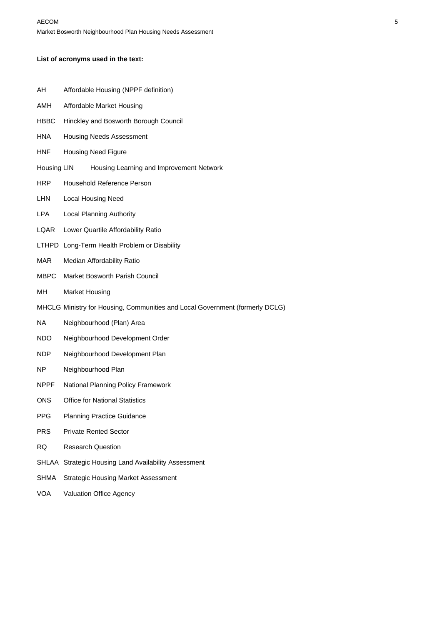#### **List of acronyms used in the text:**

| AΗ | Affordable Housing (NPPF definition) |  |  |
|----|--------------------------------------|--|--|
|----|--------------------------------------|--|--|

- AMH Affordable Market Housing
- HBBC Hinckley and Bosworth Borough Council
- HNA Housing Needs Assessment
- HNF Housing Need Figure
- Housing LIN Housing Learning and Improvement Network
- HRP Household Reference Person
- LHN Local Housing Need
- LPA Local Planning Authority
- LQAR Lower Quartile Affordability Ratio
- LTHPD Long-Term Health Problem or Disability
- MAR Median Affordability Ratio
- MBPC Market Bosworth Parish Council
- MH Market Housing
- MHCLG Ministry for Housing, Communities and Local Government (formerly DCLG)
- NA Neighbourhood (Plan) Area
- NDO Neighbourhood Development Order
- NDP Neighbourhood Development Plan
- NP Neighbourhood Plan
- NPPF National Planning Policy Framework
- ONS Office for National Statistics
- PPG Planning Practice Guidance
- PRS Private Rented Sector
- RQ Research Question
- SHLAA Strategic Housing Land Availability Assessment
- SHMA Strategic Housing Market Assessment
- VOA Valuation Office Agency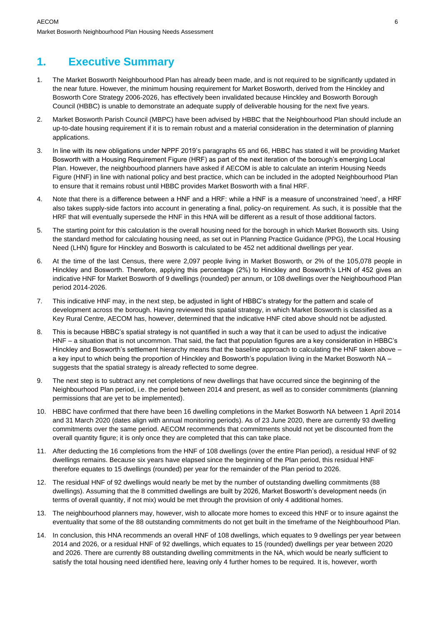## **1. Executive Summary**

- 1. The Market Bosworth Neighbourhood Plan has already been made, and is not required to be significantly updated in the near future. However, the minimum housing requirement for Market Bosworth, derived from the Hinckley and Bosworth Core Strategy 2006-2026, has effectively been invalidated because Hinckley and Bosworth Borough Council (HBBC) is unable to demonstrate an adequate supply of deliverable housing for the next five years.
- 2. Market Bosworth Parish Council (MBPC) have been advised by HBBC that the Neighbourhood Plan should include an up-to-date housing requirement if it is to remain robust and a material consideration in the determination of planning applications.
- 3. In line with its new obligations under NPPF 2019's paragraphs 65 and 66, HBBC has stated it will be providing Market Bosworth with a Housing Requirement Figure (HRF) as part of the next iteration of the borough's emerging Local Plan. However, the neighbourhood planners have asked if AECOM is able to calculate an interim Housing Needs Figure (HNF) in line with national policy and best practice, which can be included in the adopted Neighbourhood Plan to ensure that it remains robust until HBBC provides Market Bosworth with a final HRF.
- 4. Note that there is a difference between a HNF and a HRF: while a HNF is a measure of unconstrained 'need', a HRF also takes supply-side factors into account in generating a final, policy-on requirement. As such, it is possible that the HRF that will eventually supersede the HNF in this HNA will be different as a result of those additional factors.
- 5. The starting point for this calculation is the overall housing need for the borough in which Market Bosworth sits. Using the standard method for calculating housing need, as set out in Planning Practice Guidance (PPG), the Local Housing Need (LHN) figure for Hinckley and Bosworth is calculated to be 452 net additional dwellings per year.
- 6. At the time of the last Census, there were 2,097 people living in Market Bosworth, or 2% of the 105,078 people in Hinckley and Bosworth. Therefore, applying this percentage (2%) to Hinckley and Bosworth's LHN of 452 gives an indicative HNF for Market Bosworth of 9 dwellings (rounded) per annum, or 108 dwellings over the Neighbourhood Plan period 2014-2026.
- 7. This indicative HNF may, in the next step, be adjusted in light of HBBC's strategy for the pattern and scale of development across the borough. Having reviewed this spatial strategy, in which Market Bosworth is classified as a Key Rural Centre, AECOM has, however, determined that the indicative HNF cited above should not be adjusted.
- 8. This is because HBBC's spatial strategy is not quantified in such a way that it can be used to adjust the indicative HNF – a situation that is not uncommon. That said, the fact that population figures are a key consideration in HBBC's Hinckley and Bosworth's settlement hierarchy means that the baseline approach to calculating the HNF taken above – a key input to which being the proportion of Hinckley and Bosworth's population living in the Market Bosworth NA – suggests that the spatial strategy is already reflected to some degree.
- 9. The next step is to subtract any net completions of new dwellings that have occurred since the beginning of the Neighbourhood Plan period, i.e. the period between 2014 and present, as well as to consider commitments (planning permissions that are yet to be implemented).
- 10. HBBC have confirmed that there have been 16 dwelling completions in the Market Bosworth NA between 1 April 2014 and 31 March 2020 (dates align with annual monitoring periods). As of 23 June 2020, there are currently 93 dwelling commitments over the same period. AECOM recommends that commitments should not yet be discounted from the overall quantity figure; it is only once they are completed that this can take place.
- 11. After deducting the 16 completions from the HNF of 108 dwellings (over the entire Plan period), a residual HNF of 92 dwellings remains. Because six years have elapsed since the beginning of the Plan period, this residual HNF therefore equates to 15 dwellings (rounded) per year for the remainder of the Plan period to 2026.
- 12. The residual HNF of 92 dwellings would nearly be met by the number of outstanding dwelling commitments (88 dwellings). Assuming that the 8 committed dwellings are built by 2026, Market Bosworth's development needs (in terms of overall quantity, if not mix) would be met through the provision of only 4 additional homes.
- 13. The neighbourhood planners may, however, wish to allocate more homes to exceed this HNF or to insure against the eventuality that some of the 88 outstanding commitments do not get built in the timeframe of the Neighbourhood Plan.
- 14. In conclusion, this HNA recommends an overall HNF of 108 dwellings, which equates to 9 dwellings per year between 2014 and 2026, or a residual HNF of 92 dwellings, which equates to 15 (rounded) dwellings per year between 2020 and 2026. There are currently 88 outstanding dwelling commitments in the NA, which would be nearly sufficient to satisfy the total housing need identified here, leaving only 4 further homes to be required. It is, however, worth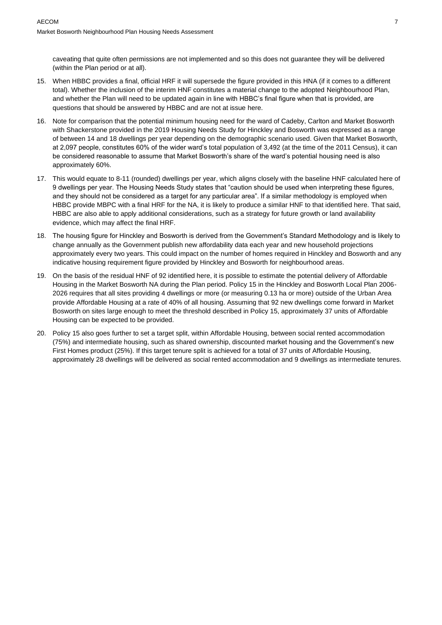caveating that quite often permissions are not implemented and so this does not guarantee they will be delivered (within the Plan period or at all).

- 15. When HBBC provides a final, official HRF it will supersede the figure provided in this HNA (if it comes to a different total). Whether the inclusion of the interim HNF constitutes a material change to the adopted Neighbourhood Plan, and whether the Plan will need to be updated again in line with HBBC's final figure when that is provided, are questions that should be answered by HBBC and are not at issue here.
- 16. Note for comparison that the potential minimum housing need for the ward of Cadeby, Carlton and Market Bosworth with Shackerstone provided in the 2019 Housing Needs Study for Hinckley and Bosworth was expressed as a range of between 14 and 18 dwellings per year depending on the demographic scenario used. Given that Market Bosworth, at 2,097 people, constitutes 60% of the wider ward's total population of 3,492 (at the time of the 2011 Census), it can be considered reasonable to assume that Market Bosworth's share of the ward's potential housing need is also approximately 60%.
- 17. This would equate to 8-11 (rounded) dwellings per year, which aligns closely with the baseline HNF calculated here of 9 dwellings per year. The Housing Needs Study states that "caution should be used when interpreting these figures, and they should not be considered as a target for any particular area". If a similar methodology is employed when HBBC provide MBPC with a final HRF for the NA, it is likely to produce a similar HNF to that identified here. That said, HBBC are also able to apply additional considerations, such as a strategy for future growth or land availability evidence, which may affect the final HRF.
- 18. The housing figure for Hinckley and Bosworth is derived from the Government's Standard Methodology and is likely to change annually as the Government publish new affordability data each year and new household projections approximately every two years. This could impact on the number of homes required in Hinckley and Bosworth and any indicative housing requirement figure provided by Hinckley and Bosworth for neighbourhood areas.
- 19. On the basis of the residual HNF of 92 identified here, it is possible to estimate the potential delivery of Affordable Housing in the Market Bosworth NA during the Plan period. Policy 15 in the Hinckley and Bosworth Local Plan 2006- 2026 requires that all sites providing 4 dwellings or more (or measuring 0.13 ha or more) outside of the Urban Area provide Affordable Housing at a rate of 40% of all housing. Assuming that 92 new dwellings come forward in Market Bosworth on sites large enough to meet the threshold described in Policy 15, approximately 37 units of Affordable Housing can be expected to be provided.
- 20. Policy 15 also goes further to set a target split, within Affordable Housing, between social rented accommodation (75%) and intermediate housing, such as shared ownership, discounted market housing and the Government's new First Homes product (25%). If this target tenure split is achieved for a total of 37 units of Affordable Housing, approximately 28 dwellings will be delivered as social rented accommodation and 9 dwellings as intermediate tenures.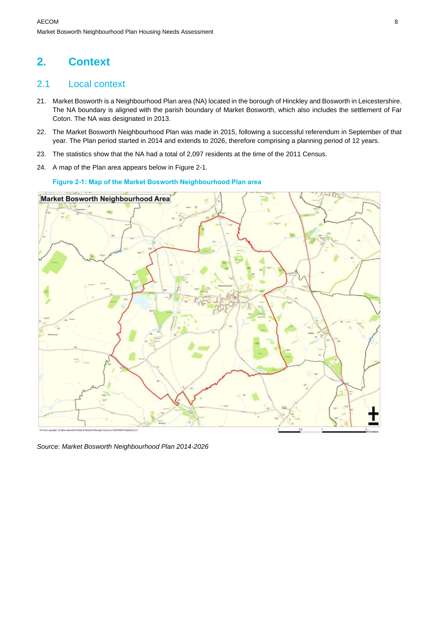## **2. Context**

### 2.1 Local context

- 21. Market Bosworth is a Neighbourhood Plan area (NA) located in the borough of Hinckley and Bosworth in Leicestershire. The NA boundary is aligned with the parish boundary of Market Bosworth, which also includes the settlement of Far Coton. The NA was designated in 2013.
- 22. The Market Bosworth Neighbourhood Plan was made in 2015, following a successful referendum in September of that year. The Plan period started in 2014 and extends to 2026, therefore comprising a planning period of 12 years.
- 23. The statistics show that the NA had a total of 2,097 residents at the time of the 2011 Census.
- 24. A map of the Plan area appears below in Figure 2-1.

#### **Figure 2-1: Map of the Market Bosworth Neighbourhood Plan area**



*Source: Market Bosworth Neighbourhood Plan 2014-2026*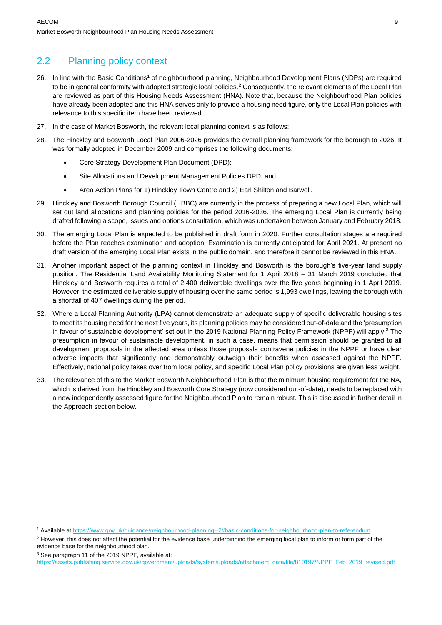## 2.2 Planning policy context

- 26. In line with the Basic Conditions<sup>1</sup> of neighbourhood planning, Neighbourhood Development Plans (NDPs) are required to be in general conformity with adopted strategic local policies.<sup>2</sup> Consequently, the relevant elements of the Local Plan are reviewed as part of this Housing Needs Assessment (HNA). Note that, because the Neighbourhood Plan policies have already been adopted and this HNA serves only to provide a housing need figure, only the Local Plan policies with relevance to this specific item have been reviewed.
- 27. In the case of Market Bosworth, the relevant local planning context is as follows:
- 28. The Hinckley and Bosworth Local Plan 2006-2026 provides the overall planning framework for the borough to 2026. It was formally adopted in December 2009 and comprises the following documents:
	- Core Strategy Development Plan Document (DPD);
	- Site Allocations and Development Management Policies DPD; and
	- Area Action Plans for 1) Hinckley Town Centre and 2) Earl Shilton and Barwell.
- 29. Hinckley and Bosworth Borough Council (HBBC) are currently in the process of preparing a new Local Plan, which will set out land allocations and planning policies for the period 2016-2036. The emerging Local Plan is currently being drafted following a scope, issues and options consultation, which was undertaken between January and February 2018.
- 30. The emerging Local Plan is expected to be published in draft form in 2020. Further consultation stages are required before the Plan reaches examination and adoption. Examination is currently anticipated for April 2021. At present no draft version of the emerging Local Plan exists in the public domain, and therefore it cannot be reviewed in this HNA.
- 31. Another important aspect of the planning context in Hinckley and Bosworth is the borough's five-year land supply position. The Residential Land Availability Monitoring Statement for 1 April 2018 – 31 March 2019 concluded that Hinckley and Bosworth requires a total of 2,400 deliverable dwellings over the five years beginning in 1 April 2019. However, the estimated deliverable supply of housing over the same period is 1,993 dwellings, leaving the borough with a shortfall of 407 dwellings during the period.
- 32. Where a Local Planning Authority (LPA) cannot demonstrate an adequate supply of specific deliverable housing sites to meet its housing need for the next five years, its planning policies may be considered out-of-date and the 'presumption in favour of sustainable development' set out in the 2019 National Planning Policy Framework (NPPF) will apply.<sup>3</sup> The presumption in favour of sustainable development, in such a case, means that permission should be granted to all development proposals in the affected area unless those proposals contravene policies in the NPPF or have clear adverse impacts that significantly and demonstrably outweigh their benefits when assessed against the NPPF. Effectively, national policy takes over from local policy, and specific Local Plan policy provisions are given less weight.
- 33. The relevance of this to the Market Bosworth Neighbourhood Plan is that the minimum housing requirement for the NA, which is derived from the Hinckley and Bosworth Core Strategy (now considered out-of-date), needs to be replaced with a new independently assessed figure for the Neighbourhood Plan to remain robust. This is discussed in further detail in the Approach section below.

<sup>3</sup> See paragraph 11 of the 2019 NPPF, available at:

<sup>1</sup> Available a[t https://www.gov.uk/guidance/neighbourhood-planning--2#basic-conditions-for-neighbourhood-plan-to-referendum](https://www.gov.uk/guidance/neighbourhood-planning--2#basic-conditions-for-neighbourhood-plan-to-referendum)

<sup>&</sup>lt;sup>2</sup> However, this does not affect the potential for the evidence base underpinning the emerging local plan to inform or form part of the evidence base for the neighbourhood plan.

[https://assets.publishing.service.gov.uk/government/uploads/system/uploads/attachment\\_data/file/810197/NPPF\\_Feb\\_2019\\_revised.pdf](https://assets.publishing.service.gov.uk/government/uploads/system/uploads/attachment_data/file/810197/NPPF_Feb_2019_revised.pdf)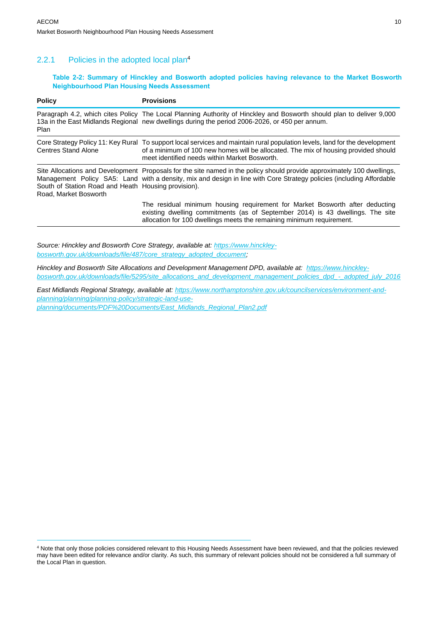#### 2.2.1 Policies in the adopted local plan<sup>4</sup>

#### **Table 2-2: Summary of Hinckley and Bosworth adopted policies having relevance to the Market Bosworth Neighbourhood Plan Housing Needs Assessment**

| <b>Policy</b>                                                                | <b>Provisions</b>                                                                                                                                                                                                                                                   |
|------------------------------------------------------------------------------|---------------------------------------------------------------------------------------------------------------------------------------------------------------------------------------------------------------------------------------------------------------------|
| Plan                                                                         | Paragraph 4.2, which cites Policy The Local Planning Authority of Hinckley and Bosworth should plan to deliver 9,000<br>13a in the East Midlands Regional new dwellings during the period 2006-2026, or 450 per annum.                                              |
| <b>Centres Stand Alone</b>                                                   | Core Strategy Policy 11: Key Rural To support local services and maintain rural population levels, land for the development<br>of a minimum of 100 new homes will be allocated. The mix of housing provided should<br>meet identified needs within Market Bosworth. |
| South of Station Road and Heath Housing provision).<br>Road, Market Bosworth | Site Allocations and Development Proposals for the site named in the policy should provide approximately 100 dwellings,<br>Management Policy SA5: Land with a density, mix and design in line with Core Strategy policies (including Affordable                     |
|                                                                              | The residual minimum housing requirement for Market Bosworth after deducting<br>existing dwelling commitments (as of September 2014) is 43 dwellings. The site<br>allocation for 100 dwellings meets the remaining minimum requirement.                             |

*Source: Hinckley and Bosworth Core Strategy, available at: [https://www.hinckley](https://www.hinckley-bosworth.gov.uk/downloads/file/487/core_strategy_adopted_document)[bosworth.gov.uk/downloads/file/487/core\\_strategy\\_adopted\\_document;](https://www.hinckley-bosworth.gov.uk/downloads/file/487/core_strategy_adopted_document)* 

*Hinckley and Bosworth Site Allocations and Development Management DPD, available at: [https://www.hinckley](https://www.hinckley-bosworth.gov.uk/downloads/file/5295/site_allocations_and_development_management_policies_dpd_-_adopted_july_2016)[bosworth.gov.uk/downloads/file/5295/site\\_allocations\\_and\\_development\\_management\\_policies\\_dpd\\_-\\_adopted\\_july\\_2016](https://www.hinckley-bosworth.gov.uk/downloads/file/5295/site_allocations_and_development_management_policies_dpd_-_adopted_july_2016)*

*East Midlands Regional Strategy, available at: [https://www.northamptonshire.gov.uk/councilservices/environment-and](https://www.northamptonshire.gov.uk/councilservices/environment-and-planning/planning/planning-policy/strategic-land-use-planning/documents/PDF%20Documents/East_Midlands_Regional_Plan2.pdf)[planning/planning/planning-policy/strategic-land-use](https://www.northamptonshire.gov.uk/councilservices/environment-and-planning/planning/planning-policy/strategic-land-use-planning/documents/PDF%20Documents/East_Midlands_Regional_Plan2.pdf)[planning/documents/PDF%20Documents/East\\_Midlands\\_Regional\\_Plan2.pdf](https://www.northamptonshire.gov.uk/councilservices/environment-and-planning/planning/planning-policy/strategic-land-use-planning/documents/PDF%20Documents/East_Midlands_Regional_Plan2.pdf)*

<sup>4</sup> Note that only those policies considered relevant to this Housing Needs Assessment have been reviewed, and that the policies reviewed may have been edited for relevance and/or clarity. As such, this summary of relevant policies should not be considered a full summary of the Local Plan in question.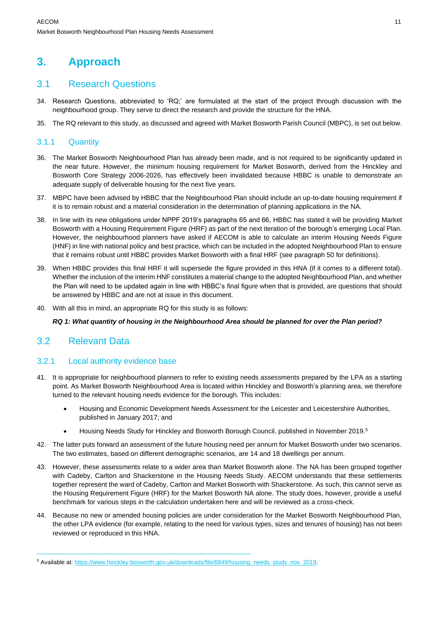## **3. Approach**

### 3.1 Research Questions

- 34. Research Questions, abbreviated to 'RQ;' are formulated at the start of the project through discussion with the neighbourhood group. They serve to direct the research and provide the structure for the HNA.
- 35. The RQ relevant to this study, as discussed and agreed with Market Bosworth Parish Council (MBPC), is set out below.

### 3.1.1 Quantity

- 36. The Market Bosworth Neighbourhood Plan has already been made, and is not required to be significantly updated in the near future. However, the minimum housing requirement for Market Bosworth, derived from the Hinckley and Bosworth Core Strategy 2006-2026, has effectively been invalidated because HBBC is unable to demonstrate an adequate supply of deliverable housing for the next five years.
- 37. MBPC have been advised by HBBC that the Neighbourhood Plan should include an up-to-date housing requirement if it is to remain robust and a material consideration in the determination of planning applications in the NA.
- 38. In line with its new obligations under NPPF 2019's paragraphs 65 and 66, HBBC has stated it will be providing Market Bosworth with a Housing Requirement Figure (HRF) as part of the next iteration of the borough's emerging Local Plan. However, the neighbourhood planners have asked if AECOM is able to calculate an interim Housing Needs Figure (HNF) in line with national policy and best practice, which can be included in the adopted Neighbourhood Plan to ensure that it remains robust until HBBC provides Market Bosworth with a final HRF (see paragraph 50 for definitions).
- 39. When HBBC provides this final HRF it will supersede the figure provided in this HNA (if it comes to a different total). Whether the inclusion of the interim HNF constitutes a material change to the adopted Neighbourhood Plan, and whether the Plan will need to be updated again in line with HBBC's final figure when that is provided, are questions that should be answered by HBBC and are not at issue in this document.
- 40. With all this in mind, an appropriate RQ for this study is as follows:

#### *RQ 1: What quantity of housing in the Neighbourhood Area should be planned for over the Plan period?*

### 3.2 Relevant Data

#### 3.2.1 Local authority evidence base

- 41. It is appropriate for neighbourhood planners to refer to existing needs assessments prepared by the LPA as a starting point. As Market Bosworth Neighbourhood Area is located within Hinckley and Bosworth's planning area, we therefore turned to the relevant housing needs evidence for the borough. This includes:
	- Housing and Economic Development Needs Assessment for the Leicester and Leicestershire Authorities, published in January 2017; and
	- Housing Needs Study for Hinckley and Bosworth Borough Council, published in November 2019.<sup>5</sup>
- 42. The latter puts forward an assessment of the future housing need per annum for Market Bosworth under two scenarios. The two estimates, based on different demographic scenarios, are 14 and 18 dwellings per annum.
- 43. However, these assessments relate to a wider area than Market Bosworth alone. The NA has been grouped together with Cadeby, Carlton and Shackerstone in the Housing Needs Study. AECOM understands that these settlements together represent the ward of Cadeby, Carlton and Market Bosworth with Shackerstone. As such, this cannot serve as the Housing Requirement Figure (HRF) for the Market Bosworth NA alone. The study does, however, provide a useful benchmark for various steps in the calculation undertaken here and will be reviewed as a cross-check.
- 44. Because no new or amended housing policies are under consideration for the Market Bosworth Neighbourhood Plan, the other LPA evidence (for example, relating to the need for various types, sizes and tenures of housing) has not been reviewed or reproduced in this HNA.

<sup>&</sup>lt;sup>5</sup> Available at: https://www.hinckley-bosworth.gov.uk/downloads/file/6849/housing\_needs\_study\_nov\_2019.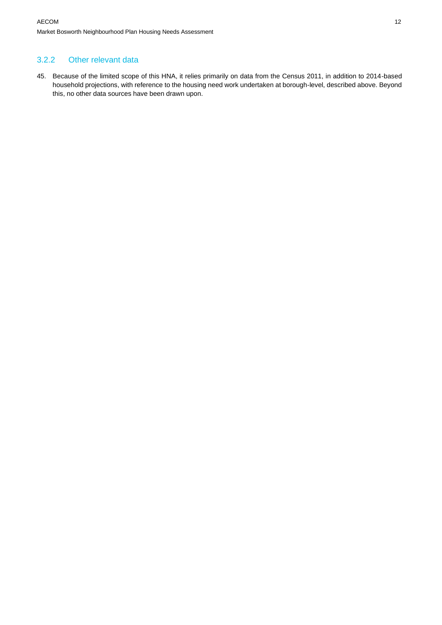### 3.2.2 Other relevant data

45. Because of the limited scope of this HNA, it relies primarily on data from the Census 2011, in addition to 2014-based household projections, with reference to the housing need work undertaken at borough-level, described above. Beyond this, no other data sources have been drawn upon.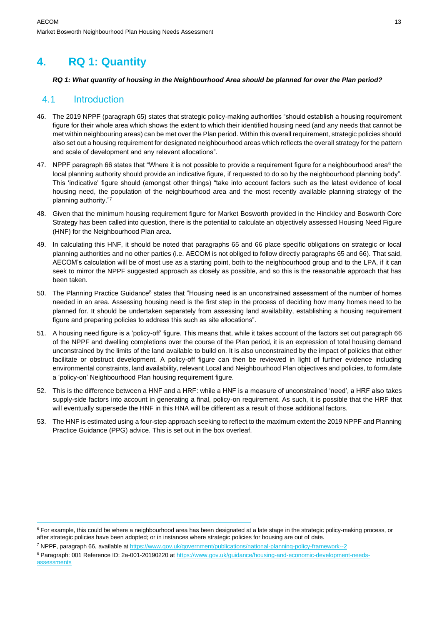## **4. RQ 1: Quantity**

#### *RQ 1: What quantity of housing in the Neighbourhood Area should be planned for over the Plan period?*

### 4.1 Introduction

- 46. The 2019 NPPF (paragraph 65) states that strategic policy-making authorities "should establish a housing requirement figure for their whole area which shows the extent to which their identified housing need (and any needs that cannot be met within neighbouring areas) can be met over the Plan period. Within this overall requirement, strategic policies should also set out a housing requirement for designated neighbourhood areas which reflects the overall strategy for the pattern and scale of development and any relevant allocations".
- 47. NPPF paragraph 66 states that "Where it is not possible to provide a requirement figure for a neighbourhood area $^6$  the local planning authority should provide an indicative figure, if requested to do so by the neighbourhood planning body". This 'indicative' figure should (amongst other things) "take into account factors such as the latest evidence of local housing need, the population of the neighbourhood area and the most recently available planning strategy of the planning authority."<sup>7</sup>
- 48. Given that the minimum housing requirement figure for Market Bosworth provided in the Hinckley and Bosworth Core Strategy has been called into question, there is the potential to calculate an objectively assessed Housing Need Figure (HNF) for the Neighbourhood Plan area.
- 49. In calculating this HNF, it should be noted that paragraphs 65 and 66 place specific obligations on strategic or local planning authorities and no other parties (i.e. AECOM is not obliged to follow directly paragraphs 65 and 66). That said, AECOM's calculation will be of most use as a starting point, both to the neighbourhood group and to the LPA, if it can seek to mirror the NPPF suggested approach as closely as possible, and so this is the reasonable approach that has been taken.
- 50. The Planning Practice Guidance<sup>8</sup> states that "Housing need is an unconstrained assessment of the number of homes needed in an area. Assessing housing need is the first step in the process of deciding how many homes need to be planned for. It should be undertaken separately from assessing land availability, establishing a housing requirement figure and preparing policies to address this such as site allocations".
- 51. A housing need figure is a 'policy-off' figure. This means that, while it takes account of the factors set out paragraph 66 of the NPPF and dwelling completions over the course of the Plan period, it is an expression of total housing demand unconstrained by the limits of the land available to build on. It is also unconstrained by the impact of policies that either facilitate or obstruct development. A policy-off figure can then be reviewed in light of further evidence including environmental constraints, land availability, relevant Local and Neighbourhood Plan objectives and policies, to formulate a 'policy-on' Neighbourhood Plan housing requirement figure.
- 52. This is the difference between a HNF and a HRF: while a HNF is a measure of unconstrained 'need', a HRF also takes supply-side factors into account in generating a final, policy-on requirement. As such, it is possible that the HRF that will eventually supersede the HNF in this HNA will be different as a result of those additional factors.
- 53. The HNF is estimated using a four-step approach seeking to reflect to the maximum extent the 2019 NPPF and Planning Practice Guidance (PPG) advice. This is set out in the box overleaf.

<sup>&</sup>lt;sup>6</sup> For example, this could be where a neighbourhood area has been designated at a late stage in the strategic policy-making process, or after strategic policies have been adopted; or in instances where strategic policies for housing are out of date.

<sup>7</sup> NPPF, paragraph 66, available at<https://www.gov.uk/government/publications/national-planning-policy-framework--2>

<sup>&</sup>lt;sup>8</sup> Paragraph: 001 Reference ID: 2a-001-20190220 at [https://www.gov.uk/guidance/housing-and-economic-development-needs](https://www.gov.uk/guidance/housing-and-economic-development-needs-assessments)**[assessments](https://www.gov.uk/guidance/housing-and-economic-development-needs-assessments)**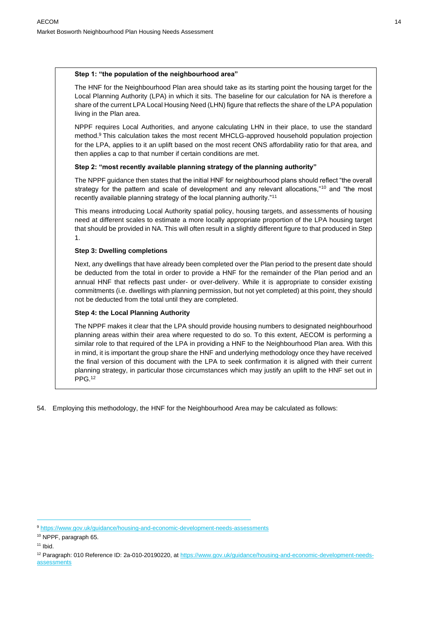#### **Step 1: "the population of the neighbourhood area"**

The HNF for the Neighbourhood Plan area should take as its starting point the housing target for the Local Planning Authority (LPA) in which it sits. The baseline for our calculation for NA is therefore a share of the current LPA Local Housing Need (LHN) figure that reflects the share of the LPA population living in the Plan area.

NPPF requires Local Authorities, and anyone calculating LHN in their place, to use the standard method.<sup>9</sup> This calculation takes the most recent MHCLG-approved household population projection for the LPA, applies to it an uplift based on the most recent ONS affordability ratio for that area, and then applies a cap to that number if certain conditions are met.

#### **Step 2: "most recently available planning strategy of the planning authority"**

The NPPF guidance then states that the initial HNF for neighbourhood plans should reflect "the overall strategy for the pattern and scale of development and any relevant allocations,"10 and "the most recently available planning strategy of the local planning authority."<sup>11</sup>

This means introducing Local Authority spatial policy, housing targets, and assessments of housing need at different scales to estimate a more locally appropriate proportion of the LPA housing target that should be provided in NA. This will often result in a slightly different figure to that produced in Step 1.

#### **Step 3: Dwelling completions**

Next, any dwellings that have already been completed over the Plan period to the present date should be deducted from the total in order to provide a HNF for the remainder of the Plan period and an annual HNF that reflects past under- or over-delivery. While it is appropriate to consider existing commitments (i.e. dwellings with planning permission, but not yet completed) at this point, they should not be deducted from the total until they are completed.

#### **Step 4: the Local Planning Authority**

The NPPF makes it clear that the LPA should provide housing numbers to designated neighbourhood planning areas within their area where requested to do so. To this extent, AECOM is performing a similar role to that required of the LPA in providing a HNF to the Neighbourhood Plan area. With this in mind, it is important the group share the HNF and underlying methodology once they have received the final version of this document with the LPA to seek confirmation it is aligned with their current planning strategy, in particular those circumstances which may justify an uplift to the HNF set out in PPG.<sup>12</sup>

54. Employing this methodology, the HNF for the Neighbourhood Area may be calculated as follows:

<sup>9</sup> <https://www.gov.uk/guidance/housing-and-economic-development-needs-assessments>

<sup>10</sup> NPPF, paragraph 65.

 $11$  Ibid.

<sup>&</sup>lt;sup>12</sup> Paragraph: 010 Reference ID: 2a-010-20190220, at [https://www.gov.uk/guidance/housing-and-economic-development-needs](https://www.gov.uk/guidance/housing-and-economic-development-needs-assessments)[assessments](https://www.gov.uk/guidance/housing-and-economic-development-needs-assessments)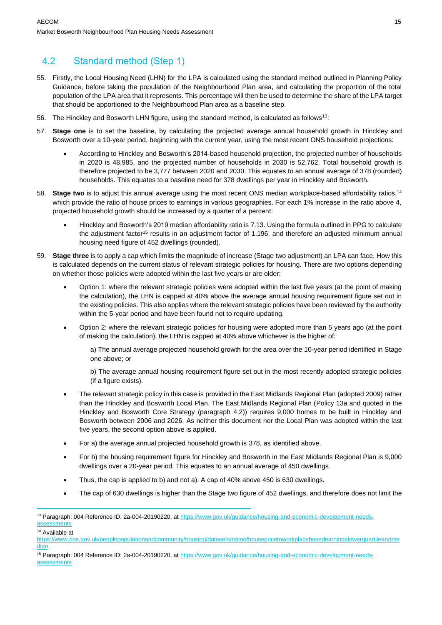## 4.2 Standard method (Step 1)

- 55. Firstly, the Local Housing Need (LHN) for the LPA is calculated using the standard method outlined in Planning Policy Guidance, before taking the population of the Neighbourhood Plan area, and calculating the proportion of the total population of the LPA area that it represents. This percentage will then be used to determine the share of the LPA target that should be apportioned to the Neighbourhood Plan area as a baseline step.
- 56. The Hinckley and Bosworth LHN figure, using the standard method, is calculated as follows<sup>13</sup>:
- 57. **Stage one** is to set the baseline, by calculating the projected average annual household growth in Hinckley and Bosworth over a 10-year period, beginning with the current year, using the most recent ONS household projections:
	- According to Hinckley and Bosworth's 2014-based household projection, the projected number of households in 2020 is 48,985, and the projected number of households in 2030 is 52,762. Total household growth is therefore projected to be 3,777 between 2020 and 2030. This equates to an annual average of 378 (rounded) households. This equates to a baseline need for 378 dwellings per year in Hinckley and Bosworth.
- 58. **Stage two** is to adjust this annual average using the most recent ONS median workplace-based affordability ratios,<sup>14</sup> which provide the ratio of house prices to earnings in various geographies. For each 1% increase in the ratio above 4, projected household growth should be increased by a quarter of a percent:
	- Hinckley and Bosworth's 2019 median affordability ratio is 7.13. Using the formula outlined in PPG to calculate the adjustment factor<sup>15</sup> results in an adjustment factor of 1.196, and therefore an adjusted minimum annual housing need figure of 452 dwellings (rounded).
- 59. **Stage three** is to apply a cap which limits the magnitude of increase (Stage two adjustment) an LPA can face. How this is calculated depends on the current status of relevant strategic policies for housing. There are two options depending on whether those policies were adopted within the last five years or are older:
	- Option 1: where the relevant strategic policies were adopted within the last five years (at the point of making the calculation), the LHN is capped at 40% above the average annual housing requirement figure set out in the existing policies. This also applies where the relevant strategic policies have been reviewed by the authority within the 5-year period and have been found not to require updating.
	- Option 2: where the relevant strategic policies for housing were adopted more than 5 years ago (at the point of making the calculation), the LHN is capped at 40% above whichever is the higher of:

a) The annual average projected household growth for the area over the 10-year period identified in Stage one above; or

b) The average annual housing requirement figure set out in the most recently adopted strategic policies (if a figure exists).

- The relevant strategic policy in this case is provided in the East Midlands Regional Plan (adopted 2009) rather than the Hinckley and Bosworth Local Plan. The East Midlands Regional Plan (Policy 13a and quoted in the Hinckley and Bosworth Core Strategy (paragraph 4.2)) requires 9,000 homes to be built in Hinckley and Bosworth between 2006 and 2026. As neither this document nor the Local Plan was adopted within the last five years, the second option above is applied.
- For a) the average annual projected household growth is 378, as identified above.
- For b) the housing requirement figure for Hinckley and Bosworth in the East Midlands Regional Plan is 9,000 dwellings over a 20-year period. This equates to an annual average of 450 dwellings.
- Thus, the cap is applied to b) and not a). A cap of 40% above 450 is 630 dwellings.
- The cap of 630 dwellings is higher than the Stage two figure of 452 dwellings, and therefore does not limit the

<sup>&</sup>lt;sup>13</sup> Paragraph: 004 Reference ID: 2a-004-20190220, at [https://www.gov.uk/guidance/housing-and-economic-development-needs](https://www.gov.uk/guidance/housing-and-economic-development-needs-assessments)**[assessments](https://www.gov.uk/guidance/housing-and-economic-development-needs-assessments)** 

<sup>14</sup> Available at

[https://www.ons.gov.uk/peoplepopulationandcommunity/housing/datasets/ratioofhousepricetoworkplacebasedearningslowerquartileandme](https://www.ons.gov.uk/peoplepopulationandcommunity/housing/datasets/ratioofhousepricetoworkplacebasedearningslowerquartileandmedian) [dian](https://www.ons.gov.uk/peoplepopulationandcommunity/housing/datasets/ratioofhousepricetoworkplacebasedearningslowerquartileandmedian)

<sup>&</sup>lt;sup>15</sup> Paragraph: 004 Reference ID: 2a-004-20190220, at [https://www.gov.uk/guidance/housing-and-economic-development-needs](https://www.gov.uk/guidance/housing-and-economic-development-needs-assessments)[assessments](https://www.gov.uk/guidance/housing-and-economic-development-needs-assessments)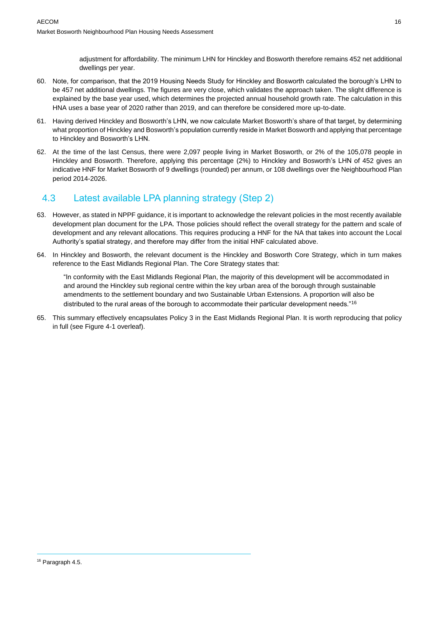adjustment for affordability. The minimum LHN for Hinckley and Bosworth therefore remains 452 net additional dwellings per year.

- 60. Note, for comparison, that the 2019 Housing Needs Study for Hinckley and Bosworth calculated the borough's LHN to be 457 net additional dwellings. The figures are very close, which validates the approach taken. The slight difference is explained by the base year used, which determines the projected annual household growth rate. The calculation in this HNA uses a base year of 2020 rather than 2019, and can therefore be considered more up-to-date.
- 61. Having derived Hinckley and Bosworth's LHN, we now calculate Market Bosworth's share of that target, by determining what proportion of Hinckley and Bosworth's population currently reside in Market Bosworth and applying that percentage to Hinckley and Bosworth's LHN.
- 62. At the time of the last Census, there were 2,097 people living in Market Bosworth, or 2% of the 105,078 people in Hinckley and Bosworth. Therefore, applying this percentage (2%) to Hinckley and Bosworth's LHN of 452 gives an indicative HNF for Market Bosworth of 9 dwellings (rounded) per annum, or 108 dwellings over the Neighbourhood Plan period 2014-2026.

## 4.3 Latest available LPA planning strategy (Step 2)

- 63. However, as stated in NPPF guidance, it is important to acknowledge the relevant policies in the most recently available development plan document for the LPA. Those policies should reflect the overall strategy for the pattern and scale of development and any relevant allocations. This requires producing a HNF for the NA that takes into account the Local Authority's spatial strategy, and therefore may differ from the initial HNF calculated above.
- 64. In Hinckley and Bosworth, the relevant document is the Hinckley and Bosworth Core Strategy, which in turn makes reference to the East Midlands Regional Plan. The Core Strategy states that:

"In conformity with the East Midlands Regional Plan, the majority of this development will be accommodated in and around the Hinckley sub regional centre within the key urban area of the borough through sustainable amendments to the settlement boundary and two Sustainable Urban Extensions. A proportion will also be distributed to the rural areas of the borough to accommodate their particular development needs."<sup>16</sup>

65. This summary effectively encapsulates Policy 3 in the East Midlands Regional Plan. It is worth reproducing that policy in full (see Figure 4-1 overleaf).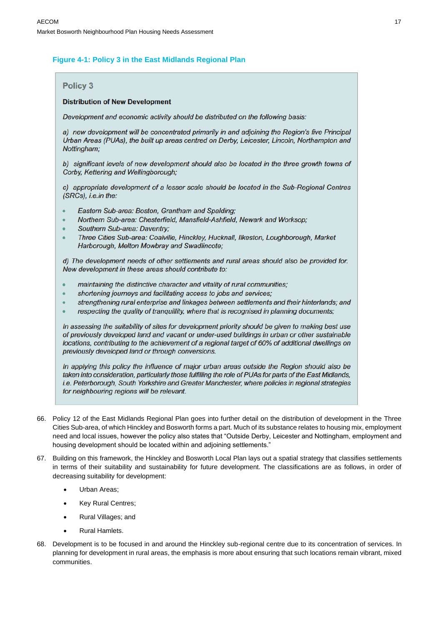#### **Figure 4-1: Policy 3 in the East Midlands Regional Plan**

#### **Policy 3**

#### **Distribution of New Development**

Development and economic activity should be distributed on the following basis:

a) new development will be concentrated primarily in and adjoining the Region's five Principal Urban Areas (PUAs), the built up areas centred on Derby, Leicester, Lincoln, Northampton and Nottingham;

b) significant levels of new development should also be located in the three growth towns of Corby, Kettering and Wellingborough;

c) appropriate development of a lesser scale should be located in the Sub-Regional Centres (SRCs), i.e.in the:

- Eastern Sub-area: Boston, Grantham and Spalding;
- Northern Sub-area: Chesterfield, Mansfield-Ashfield, Newark and Worksop;
- Southern Sub-area: Daventry;
- Three Cities Sub-area: Coalville, Hinckley, Hucknall, Ilkeston, Loughborough, Market Harborough, Melton Mowbray and Swadlincote;

d) The development needs of other settlements and rural areas should also be provided for. New development in these areas should contribute to:

- maintaining the distinctive character and vitality of rural communities;
- shortening journeys and facilitating access to jobs and services;
- strengthening rural enterprise and linkages between settlements and their hinterlands; and
- respecting the quality of tranquillity, where that is recognised in planning documents;

In assessing the suitability of sites for development priority should be given to making best use of previously developed land and vacant or under-used buildings in urban or other sustainable locations, contributing to the achievement of a regional target of 60% of additional dwellings on previously developed land or through conversions.

In applying this policy the influence of major urban areas outside the Region should also be taken into consideration, particularly those fulfilling the role of PUAs for parts of the East Midlands, i.e. Peterborough, South Yorkshire and Greater Manchester, where policies in regional strategies for neighbouring regions will be relevant.

- 66. Policy 12 of the East Midlands Regional Plan goes into further detail on the distribution of development in the Three Cities Sub-area, of which Hinckley and Bosworth forms a part. Much of its substance relates to housing mix, employment need and local issues, however the policy also states that "Outside Derby, Leicester and Nottingham, employment and housing development should be located within and adjoining settlements."
- 67. Building on this framework, the Hinckley and Bosworth Local Plan lays out a spatial strategy that classifies settlements in terms of their suitability and sustainability for future development. The classifications are as follows, in order of decreasing suitability for development:
	- Urban Areas;
	- Key Rural Centres;
	- Rural Villages; and
	- Rural Hamlets.
- 68. Development is to be focused in and around the Hinckley sub-regional centre due to its concentration of services. In planning for development in rural areas, the emphasis is more about ensuring that such locations remain vibrant, mixed communities.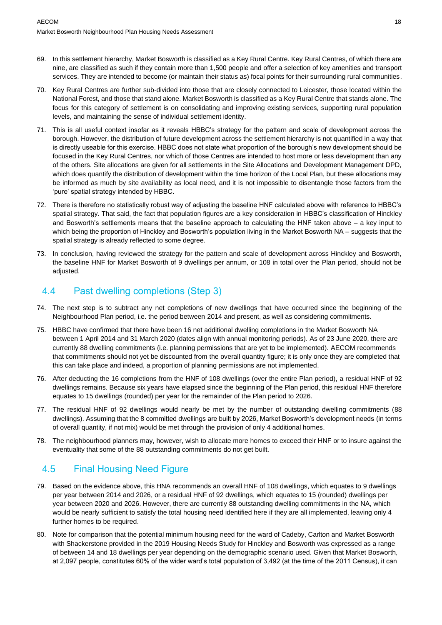- 69. In this settlement hierarchy, Market Bosworth is classified as a Key Rural Centre. Key Rural Centres, of which there are nine, are classified as such if they contain more than 1,500 people and offer a selection of key amenities and transport services. They are intended to become (or maintain their status as) focal points for their surrounding rural communities.
- 70. Key Rural Centres are further sub-divided into those that are closely connected to Leicester, those located within the National Forest, and those that stand alone. Market Bosworth is classified as a Key Rural Centre that stands alone. The focus for this category of settlement is on consolidating and improving existing services, supporting rural population levels, and maintaining the sense of individual settlement identity.
- 71. This is all useful context insofar as it reveals HBBC's strategy for the pattern and scale of development across the borough. However, the distribution of future development across the settlement hierarchy is not quantified in a way that is directly useable for this exercise. HBBC does not state what proportion of the borough's new development should be focused in the Key Rural Centres, nor which of those Centres are intended to host more or less development than any of the others. Site allocations are given for all settlements in the Site Allocations and Development Management DPD, which does quantify the distribution of development within the time horizon of the Local Plan, but these allocations may be informed as much by site availability as local need, and it is not impossible to disentangle those factors from the 'pure' spatial strategy intended by HBBC.
- 72. There is therefore no statistically robust way of adjusting the baseline HNF calculated above with reference to HBBC's spatial strategy. That said, the fact that population figures are a key consideration in HBBC's classification of Hinckley and Bosworth's settlements means that the baseline approach to calculating the HNF taken above – a key input to which being the proportion of Hinckley and Bosworth's population living in the Market Bosworth NA – suggests that the spatial strategy is already reflected to some degree.
- 73. In conclusion, having reviewed the strategy for the pattern and scale of development across Hinckley and Bosworth, the baseline HNF for Market Bosworth of 9 dwellings per annum, or 108 in total over the Plan period, should not be adjusted.

### 4.4 Past dwelling completions (Step 3)

- 74. The next step is to subtract any net completions of new dwellings that have occurred since the beginning of the Neighbourhood Plan period, i.e. the period between 2014 and present, as well as considering commitments.
- 75. HBBC have confirmed that there have been 16 net additional dwelling completions in the Market Bosworth NA between 1 April 2014 and 31 March 2020 (dates align with annual monitoring periods). As of 23 June 2020, there are currently 88 dwelling commitments (i.e. planning permissions that are yet to be implemented). AECOM recommends that commitments should not yet be discounted from the overall quantity figure; it is only once they are completed that this can take place and indeed, a proportion of planning permissions are not implemented.
- 76. After deducting the 16 completions from the HNF of 108 dwellings (over the entire Plan period), a residual HNF of 92 dwellings remains. Because six years have elapsed since the beginning of the Plan period, this residual HNF therefore equates to 15 dwellings (rounded) per year for the remainder of the Plan period to 2026.
- 77. The residual HNF of 92 dwellings would nearly be met by the number of outstanding dwelling commitments (88 dwellings). Assuming that the 8 committed dwellings are built by 2026, Market Bosworth's development needs (in terms of overall quantity, if not mix) would be met through the provision of only 4 additional homes.
- 78. The neighbourhood planners may, however, wish to allocate more homes to exceed their HNF or to insure against the eventuality that some of the 88 outstanding commitments do not get built.

### 4.5 Final Housing Need Figure

- 79. Based on the evidence above, this HNA recommends an overall HNF of 108 dwellings, which equates to 9 dwellings per year between 2014 and 2026, or a residual HNF of 92 dwellings, which equates to 15 (rounded) dwellings per year between 2020 and 2026. However, there are currently 88 outstanding dwelling commitments in the NA, which would be nearly sufficient to satisfy the total housing need identified here if they are all implemented, leaving only 4 further homes to be required.
- 80. Note for comparison that the potential minimum housing need for the ward of Cadeby, Carlton and Market Bosworth with Shackerstone provided in the 2019 Housing Needs Study for Hinckley and Bosworth was expressed as a range of between 14 and 18 dwellings per year depending on the demographic scenario used. Given that Market Bosworth, at 2,097 people, constitutes 60% of the wider ward's total population of 3,492 (at the time of the 2011 Census), it can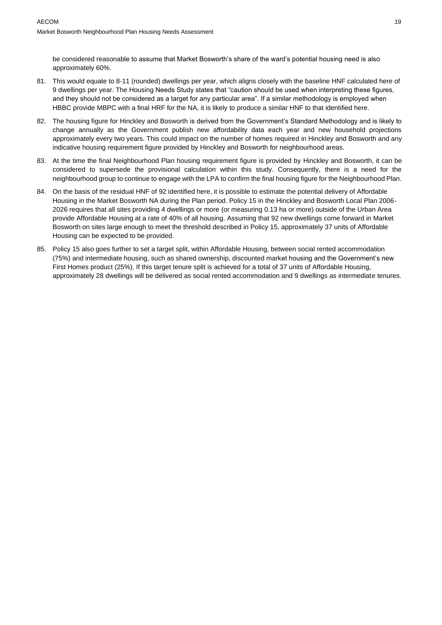be considered reasonable to assume that Market Bosworth's share of the ward's potential housing need is also approximately 60%.

- 81. This would equate to 8-11 (rounded) dwellings per year, which aligns closely with the baseline HNF calculated here of 9 dwellings per year. The Housing Needs Study states that "caution should be used when interpreting these figures, and they should not be considered as a target for any particular area". If a similar methodology is employed when HBBC provide MBPC with a final HRF for the NA, it is likely to produce a similar HNF to that identified here.
- 82. The housing figure for Hinckley and Bosworth is derived from the Government's Standard Methodology and is likely to change annually as the Government publish new affordability data each year and new household projections approximately every two years. This could impact on the number of homes required in Hinckley and Bosworth and any indicative housing requirement figure provided by Hinckley and Bosworth for neighbourhood areas.
- 83. At the time the final Neighbourhood Plan housing requirement figure is provided by Hinckley and Bosworth, it can be considered to supersede the provisional calculation within this study. Consequently, there is a need for the neighbourhood group to continue to engage with the LPA to confirm the final housing figure for the Neighbourhood Plan.
- 84. On the basis of the residual HNF of 92 identified here, it is possible to estimate the potential delivery of Affordable Housing in the Market Bosworth NA during the Plan period. Policy 15 in the Hinckley and Bosworth Local Plan 2006- 2026 requires that all sites providing 4 dwellings or more (or measuring 0.13 ha or more) outside of the Urban Area provide Affordable Housing at a rate of 40% of all housing. Assuming that 92 new dwellings come forward in Market Bosworth on sites large enough to meet the threshold described in Policy 15, approximately 37 units of Affordable Housing can be expected to be provided.
- 85. Policy 15 also goes further to set a target split, within Affordable Housing, between social rented accommodation (75%) and intermediate housing, such as shared ownership, discounted market housing and the Government's new First Homes product (25%). If this target tenure split is achieved for a total of 37 units of Affordable Housing, approximately 28 dwellings will be delivered as social rented accommodation and 9 dwellings as intermediate tenures.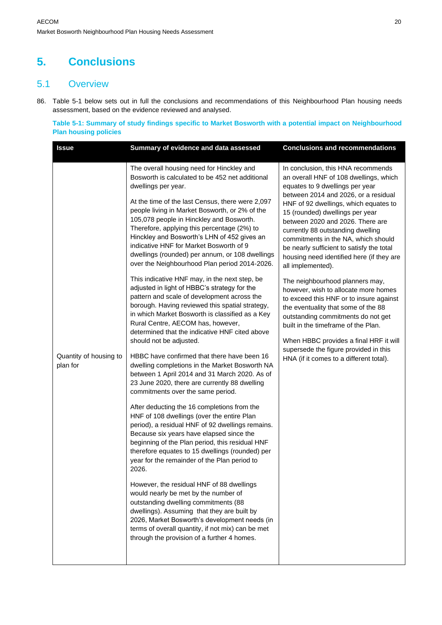## **5. Conclusions**

### 5.1 Overview

86. [Table 5-1](#page-19-0) below sets out in full the conclusions and recommendations of this Neighbourhood Plan housing needs assessment, based on the evidence reviewed and analysed.

<span id="page-19-0"></span>**Table 5-1: Summary of study findings specific to Market Bosworth with a potential impact on Neighbourhood Plan housing policies**

| <b>Issue</b>                       | Summary of evidence and data assessed                                                                                                                                                                                                                                                                                                                    | <b>Conclusions and recommendations</b>                                                                                                                                                                                                                                  |
|------------------------------------|----------------------------------------------------------------------------------------------------------------------------------------------------------------------------------------------------------------------------------------------------------------------------------------------------------------------------------------------------------|-------------------------------------------------------------------------------------------------------------------------------------------------------------------------------------------------------------------------------------------------------------------------|
|                                    | The overall housing need for Hinckley and<br>Bosworth is calculated to be 452 net additional<br>dwellings per year.<br>At the time of the last Census, there were 2,097<br>people living in Market Bosworth, or 2% of the<br>105,078 people in Hinckley and Bosworth.                                                                                    | In conclusion, this HNA recommends<br>an overall HNF of 108 dwellings, which<br>equates to 9 dwellings per year<br>between 2014 and 2026, or a residual<br>HNF of 92 dwellings, which equates to<br>15 (rounded) dwellings per year<br>between 2020 and 2026. There are |
|                                    | Therefore, applying this percentage (2%) to<br>Hinckley and Bosworth's LHN of 452 gives an<br>indicative HNF for Market Bosworth of 9<br>dwellings (rounded) per annum, or 108 dwellings<br>over the Neighbourhood Plan period 2014-2026.                                                                                                                | currently 88 outstanding dwelling<br>commitments in the NA, which should<br>be nearly sufficient to satisfy the total<br>housing need identified here (if they are<br>all implemented).                                                                                 |
|                                    | This indicative HNF may, in the next step, be<br>adjusted in light of HBBC's strategy for the<br>pattern and scale of development across the<br>borough. Having reviewed this spatial strategy,<br>in which Market Bosworth is classified as a Key<br>Rural Centre, AECOM has, however,<br>determined that the indicative HNF cited above                | The neighbourhood planners may,<br>however, wish to allocate more homes<br>to exceed this HNF or to insure against<br>the eventuality that some of the 88<br>outstanding commitments do not get<br>built in the timeframe of the Plan.                                  |
| Quantity of housing to<br>plan for | should not be adjusted.<br>HBBC have confirmed that there have been 16                                                                                                                                                                                                                                                                                   | When HBBC provides a final HRF it will<br>supersede the figure provided in this                                                                                                                                                                                         |
|                                    | dwelling completions in the Market Bosworth NA<br>between 1 April 2014 and 31 March 2020. As of<br>23 June 2020, there are currently 88 dwelling<br>commitments over the same period.                                                                                                                                                                    | HNA (if it comes to a different total).                                                                                                                                                                                                                                 |
|                                    | After deducting the 16 completions from the<br>HNF of 108 dwellings (over the entire Plan<br>period), a residual HNF of 92 dwellings remains.<br>Because six years have elapsed since the<br>beginning of the Plan period, this residual HNF<br>therefore equates to 15 dwellings (rounded) per<br>year for the remainder of the Plan period to<br>2026. |                                                                                                                                                                                                                                                                         |
|                                    | However, the residual HNF of 88 dwellings<br>would nearly be met by the number of<br>outstanding dwelling commitments (88<br>dwellings). Assuming that they are built by<br>2026, Market Bosworth's development needs (in<br>terms of overall quantity, if not mix) can be met<br>through the provision of a further 4 homes.                            |                                                                                                                                                                                                                                                                         |
|                                    |                                                                                                                                                                                                                                                                                                                                                          |                                                                                                                                                                                                                                                                         |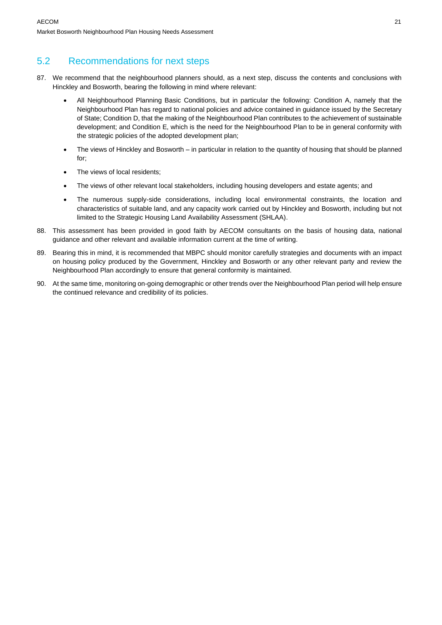### 5.2 Recommendations for next steps

- 87. We recommend that the neighbourhood planners should, as a next step, discuss the contents and conclusions with Hinckley and Bosworth, bearing the following in mind where relevant:
	- All Neighbourhood Planning Basic Conditions, but in particular the following: Condition A, namely that the Neighbourhood Plan has regard to national policies and advice contained in guidance issued by the Secretary of State; Condition D, that the making of the Neighbourhood Plan contributes to the achievement of sustainable development; and Condition E, which is the need for the Neighbourhood Plan to be in general conformity with the strategic policies of the adopted development plan;
	- The views of Hinckley and Bosworth in particular in relation to the quantity of housing that should be planned for;
	- The views of local residents;
	- The views of other relevant local stakeholders, including housing developers and estate agents; and
	- The numerous supply-side considerations, including local environmental constraints, the location and characteristics of suitable land, and any capacity work carried out by Hinckley and Bosworth, including but not limited to the Strategic Housing Land Availability Assessment (SHLAA).
- 88. This assessment has been provided in good faith by AECOM consultants on the basis of housing data, national guidance and other relevant and available information current at the time of writing.
- 89. Bearing this in mind, it is recommended that MBPC should monitor carefully strategies and documents with an impact on housing policy produced by the Government, Hinckley and Bosworth or any other relevant party and review the Neighbourhood Plan accordingly to ensure that general conformity is maintained.
- 90. At the same time, monitoring on-going demographic or other trends over the Neighbourhood Plan period will help ensure the continued relevance and credibility of its policies.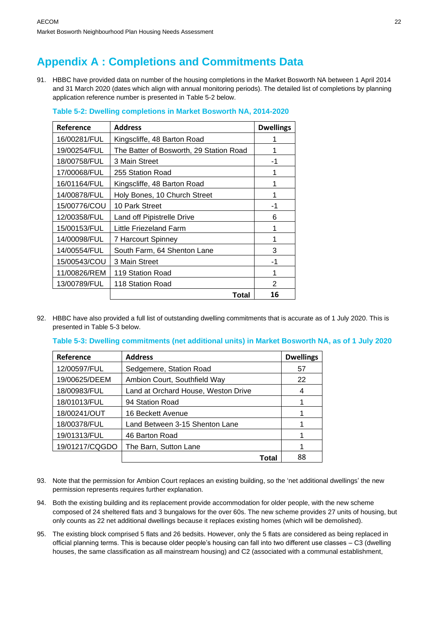## **Appendix A : Completions and Commitments Data**

91. HBBC have provided data on number of the housing completions in the Market Bosworth NA between 1 April 2014 and 31 March 2020 (dates which align with annual monitoring periods). The detailed list of completions by planning application reference number is presented in [Table 5-2](#page-21-0) below.

| Reference    | <b>Address</b>                          | <b>Dwellings</b> |
|--------------|-----------------------------------------|------------------|
| 16/00281/FUL | Kingscliffe, 48 Barton Road             |                  |
| 19/00254/FUL | The Batter of Bosworth, 29 Station Road |                  |
| 18/00758/FUL | 3 Main Street                           | -1               |
| 17/00068/FUL | 255 Station Road                        |                  |
| 16/01164/FUL | Kingscliffe, 48 Barton Road             | 1                |
| 14/00878/FUL | Holy Bones, 10 Church Street            |                  |
| 15/00776/COU | 10 Park Street                          | -1               |
| 12/00358/FUL | Land off Pipistrelle Drive              | 6                |
| 15/00153/FUL | Little Friezeland Farm                  |                  |
| 14/00098/FUL | 7 Harcourt Spinney                      | 1                |
| 14/00554/FUL | South Farm, 64 Shenton Lane             | 3                |
| 15/00543/COU | 3 Main Street                           | -1               |
| 11/00826/REM | 119 Station Road                        | 1                |
| 13/00789/FUL | 118 Station Road                        | 2                |
|              | Total                                   | 16               |

<span id="page-21-0"></span>**Table 5-2: Dwelling completions in Market Bosworth NA, 2014-2020**

92. HBBC have also provided a full list of outstanding dwelling commitments that is accurate as of 1 July 2020. This is presented in [Table 5-3](#page-21-1) below.

<span id="page-21-1"></span>**Table 5-3: Dwelling commitments (net additional units) in Market Bosworth NA, as of 1 July 2020**

| Reference      | <b>Address</b>                      | <b>Dwellings</b> |
|----------------|-------------------------------------|------------------|
| 12/00597/FUL   | Sedgemere, Station Road             | 57               |
| 19/00625/DEEM  | Ambion Court, Southfield Way        | 22               |
| 18/00983/FUL   | Land at Orchard House, Weston Drive | 4                |
| 18/01013/FUL   | 94 Station Road                     |                  |
| 18/00241/OUT   | 16 Beckett Avenue                   |                  |
| 18/00378/FUL   | Land Between 3-15 Shenton Lane      |                  |
| 19/01313/FUL   | 46 Barton Road                      |                  |
| 19/01217/CQGDO | The Barn, Sutton Lane               |                  |
|                | Total                               | 88               |

- 93. Note that the permission for Ambion Court replaces an existing building, so the 'net additional dwellings' the new permission represents requires further explanation.
- 94. Both the existing building and its replacement provide accommodation for older people, with the new scheme composed of 24 sheltered flats and 3 bungalows for the over 60s. The new scheme provides 27 units of housing, but only counts as 22 net additional dwellings because it replaces existing homes (which will be demolished).
- 95. The existing block comprised 5 flats and 26 bedsits. However, only the 5 flats are considered as being replaced in official planning terms. This is because older people's housing can fall into two different use classes – C3 (dwelling houses, the same classification as all mainstream housing) and C2 (associated with a communal establishment,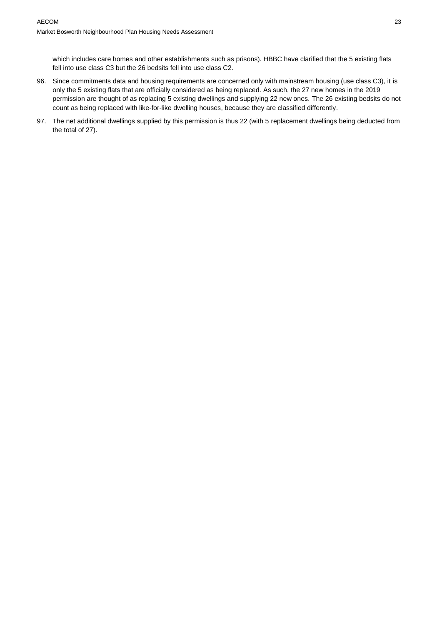which includes care homes and other establishments such as prisons). HBBC have clarified that the 5 existing flats fell into use class C3 but the 26 bedsits fell into use class C2.

- 96. Since commitments data and housing requirements are concerned only with mainstream housing (use class C3), it is only the 5 existing flats that are officially considered as being replaced. As such, the 27 new homes in the 2019 permission are thought of as replacing 5 existing dwellings and supplying 22 new ones. The 26 existing bedsits do not count as being replaced with like-for-like dwelling houses, because they are classified differently.
- 97. The net additional dwellings supplied by this permission is thus 22 (with 5 replacement dwellings being deducted from the total of 27).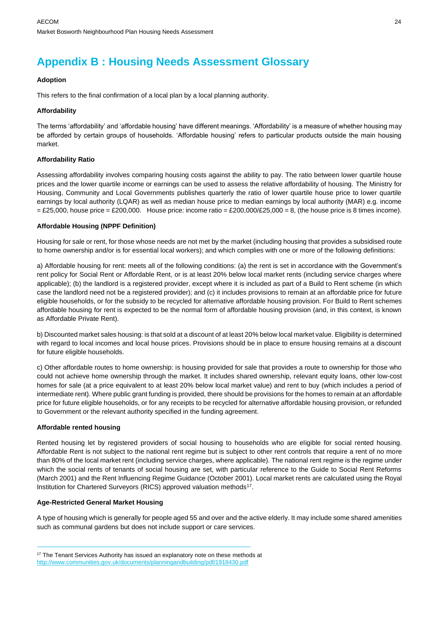## **Appendix B : Housing Needs Assessment Glossary**

#### **Adoption**

This refers to the final confirmation of a local plan by a local planning authority.

#### **Affordability**

The terms 'affordability' and 'affordable housing' have different meanings. 'Affordability' is a measure of whether housing may be afforded by certain groups of households. 'Affordable housing' refers to particular products outside the main housing market.

#### **Affordability Ratio**

Assessing affordability involves comparing housing costs against the ability to pay. The ratio between lower quartile house prices and the lower quartile income or earnings can be used to assess the relative affordability of housing. The Ministry for Housing, Community and Local Governments publishes quarterly the ratio of lower quartile house price to lower quartile earnings by local authority (LQAR) as well as median house price to median earnings by local authority (MAR) e.g. income  $=$  £25,000, house price  $=$  £200,000. House price: income ratio  $=$  £200,000/£25,000  $=$  8, (the house price is 8 times income).

#### **Affordable Housing (NPPF Definition)**

Housing for sale or rent, for those whose needs are not met by the market (including housing that provides a subsidised route to home ownership and/or is for essential local workers); and which complies with one or more of the following definitions:

a) Affordable housing for rent: meets all of the following conditions: (a) the rent is set in accordance with the Government's rent policy for Social Rent or Affordable Rent, or is at least 20% below local market rents (including service charges where applicable); (b) the landlord is a registered provider, except where it is included as part of a Build to Rent scheme (in which case the landlord need not be a registered provider); and (c) it includes provisions to remain at an affordable price for future eligible households, or for the subsidy to be recycled for alternative affordable housing provision. For Build to Rent schemes affordable housing for rent is expected to be the normal form of affordable housing provision (and, in this context, is known as Affordable Private Rent).

b) Discounted market sales housing: is that sold at a discount of at least 20% below local market value. Eligibility is determined with regard to local incomes and local house prices. Provisions should be in place to ensure housing remains at a discount for future eligible households.

c) Other affordable routes to home ownership: is housing provided for sale that provides a route to ownership for those who could not achieve home ownership through the market. It includes shared ownership, relevant equity loans, other low-cost homes for sale (at a price equivalent to at least 20% below local market value) and rent to buy (which includes a period of intermediate rent). Where public grant funding is provided, there should be provisions for the homes to remain at an affordable price for future eligible households, or for any receipts to be recycled for alternative affordable housing provision, or refunded to Government or the relevant authority specified in the funding agreement.

#### **Affordable rented housing**

Rented housing let by registered providers of social housing to households who are eligible for social rented housing. Affordable Rent is not subject to the national rent regime but is subject to other rent controls that require a rent of no more than 80% of the local market rent (including service charges, where applicable). The national rent regime is the regime under which the social rents of tenants of social housing are set, with particular reference to the Guide to Social Rent Reforms (March 2001) and the Rent Influencing Regime Guidance (October 2001). Local market rents are calculated using the Royal Institution for Chartered Surveyors (RICS) approved valuation methods<sup>17</sup>.

#### **Age-Restricted General Market Housing**

A type of housing which is generally for people aged 55 and over and the active elderly. It may include some shared amenities such as communal gardens but does not include support or care services.

<sup>&</sup>lt;sup>17</sup> The Tenant Services Authority has issued an explanatory note on these methods at <http://www.communities.gov.uk/documents/planningandbuilding/pdf/1918430.pdf>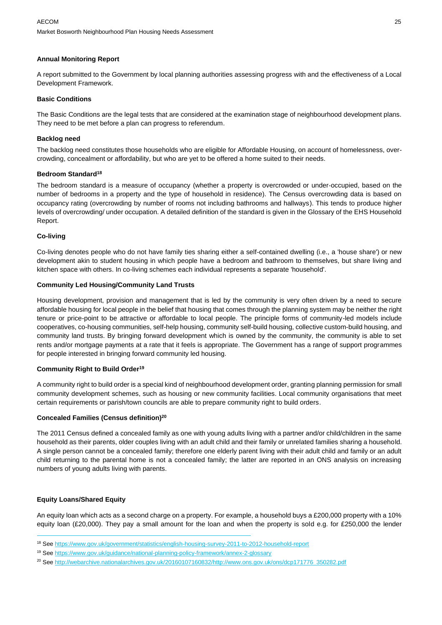#### **Annual Monitoring Report**

A report submitted to the Government by local planning authorities assessing progress with and the effectiveness of a Local Development Framework.

#### **Basic Conditions**

The Basic Conditions are the legal tests that are considered at the examination stage of neighbourhood development plans. They need to be met before a plan can progress to referendum.

#### **Backlog need**

The backlog need constitutes those households who are eligible for Affordable Housing, on account of homelessness, overcrowding, concealment or affordability, but who are yet to be offered a home suited to their needs.

#### **Bedroom Standard<sup>18</sup>**

The bedroom standard is a measure of occupancy (whether a property is overcrowded or under‐occupied, based on the number of bedrooms in a property and the type of household in residence). The Census overcrowding data is based on occupancy rating (overcrowding by number of rooms not including bathrooms and hallways). This tends to produce higher levels of overcrowding/ under occupation. A detailed definition of the standard is given in the Glossary of the EHS Household Report.

#### **Co-living**

Co-living denotes people who do not have family ties sharing either a self-contained dwelling (i.e., a 'house share') or new development akin to student housing in which people have a bedroom and bathroom to themselves, but share living and kitchen space with others. In co-living schemes each individual represents a separate 'household'.

#### **Community Led Housing/Community Land Trusts**

Housing development, provision and management that is led by the community is very often driven by a need to secure affordable housing for local people in the belief that housing that comes through the planning system may be neither the right tenure or price-point to be attractive or affordable to local people. The principle forms of community-led models include cooperatives, co-housing communities, self-help housing, community self-build housing, collective custom-build housing, and community land trusts. By bringing forward development which is owned by the community, the community is able to set rents and/or mortgage payments at a rate that it feels is appropriate. The Government has a range of support programmes for people interested in bringing forward community led housing.

#### **Community Right to Build Order<sup>19</sup>**

A community right to build order is a special kind of neighbourhood development order, granting planning permission for small community development schemes, such as housing or new community facilities. Local community organisations that meet certain requirements or parish/town councils are able to prepare community right to build orders.

#### **Concealed Families (Census definition)<sup>20</sup>**

The 2011 Census defined a concealed family as one with young adults living with a partner and/or child/children in the same household as their parents, older couples living with an adult child and their family or unrelated families sharing a household. A single person cannot be a concealed family; therefore one elderly parent living with their adult child and family or an adult child returning to the parental home is not a concealed family; the latter are reported in an ONS analysis on increasing numbers of young adults living with parents.

#### **Equity Loans/Shared Equity**

An equity loan which acts as a second charge on a property. For example, a household buys a £200,000 property with a 10% equity loan (£20,000). They pay a small amount for the loan and when the property is sold e.g. for £250,000 the lender

<sup>18</sup> See<https://www.gov.uk/government/statistics/english-housing-survey-2011-to-2012-household-report>

<sup>19</sup> See<https://www.gov.uk/guidance/national-planning-policy-framework/annex-2-glossary>

<sup>&</sup>lt;sup>20</sup> See [http://webarchive.nationalarchives.gov.uk/20160107160832/http://www.ons.gov.uk/ons/dcp171776\\_350282.pdf](http://webarchive.nationalarchives.gov.uk/20160107160832/http:/www.ons.gov.uk/ons/dcp171776_350282.pdf)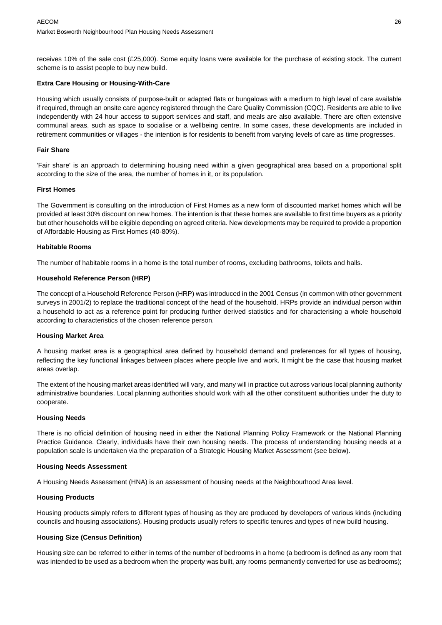receives 10% of the sale cost (£25,000). Some equity loans were available for the purchase of existing stock. The current scheme is to assist people to buy new build.

#### **Extra Care Housing or Housing-With-Care**

Housing which usually consists of purpose-built or adapted flats or bungalows with a medium to high level of care available if required, through an onsite care agency registered through the Care Quality Commission (CQC). Residents are able to live independently with 24 hour access to support services and staff, and meals are also available. There are often extensive communal areas, such as space to socialise or a wellbeing centre. In some cases, these developments are included in retirement communities or villages - the intention is for residents to benefit from varying levels of care as time progresses.

#### **Fair Share**

'Fair share' is an approach to determining housing need within a given geographical area based on a proportional split according to the size of the area, the number of homes in it, or its population.

#### **First Homes**

The Government is consulting on the introduction of First Homes as a new form of discounted market homes which will be provided at least 30% discount on new homes. The intention is that these homes are available to first time buyers as a priority but other households will be eligible depending on agreed criteria. New developments may be required to provide a proportion of Affordable Housing as First Homes (40-80%).

#### **Habitable Rooms**

The number of habitable rooms in a home is the total number of rooms, excluding bathrooms, toilets and halls.

#### **Household Reference Person (HRP)**

The concept of a Household Reference Person (HRP) was introduced in the 2001 Census (in common with other government surveys in 2001/2) to replace the traditional concept of the head of the household. HRPs provide an individual person within a household to act as a reference point for producing further derived statistics and for characterising a whole household according to characteristics of the chosen reference person.

#### **Housing Market Area**

A housing market area is a geographical area defined by household demand and preferences for all types of housing, reflecting the key functional linkages between places where people live and work. It might be the case that housing market areas overlap.

The extent of the housing market areas identified will vary, and many will in practice cut across various local planning authority administrative boundaries. Local planning authorities should work with all the other constituent authorities under the duty to cooperate.

#### **Housing Needs**

There is no official definition of housing need in either the National Planning Policy Framework or the National Planning Practice Guidance. Clearly, individuals have their own housing needs. The process of understanding housing needs at a population scale is undertaken via the preparation of a Strategic Housing Market Assessment (see below).

#### **Housing Needs Assessment**

A Housing Needs Assessment (HNA) is an assessment of housing needs at the Neighbourhood Area level.

#### **Housing Products**

Housing products simply refers to different types of housing as they are produced by developers of various kinds (including councils and housing associations). Housing products usually refers to specific tenures and types of new build housing.

#### **Housing Size (Census Definition)**

Housing size can be referred to either in terms of the number of bedrooms in a home (a bedroom is defined as any room that was intended to be used as a bedroom when the property was built, any rooms permanently converted for use as bedrooms);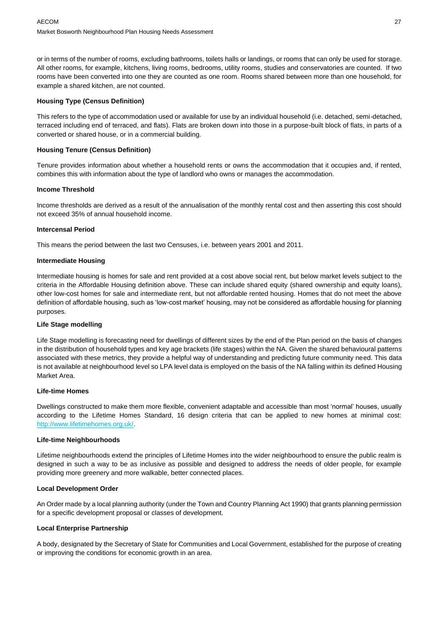or in terms of the number of rooms, excluding bathrooms, toilets halls or landings, or rooms that can only be used for storage. All other rooms, for example, kitchens, living rooms, bedrooms, utility rooms, studies and conservatories are counted. If two rooms have been converted into one they are counted as one room. Rooms shared between more than one household, for example a shared kitchen, are not counted.

#### **Housing Type (Census Definition)**

This refers to the type of accommodation used or available for use by an individual household (i.e. detached, semi-detached, terraced including end of terraced, and flats). Flats are broken down into those in a purpose-built block of flats, in parts of a converted or shared house, or in a commercial building.

#### **Housing Tenure (Census Definition)**

Tenure provides information about whether a household rents or owns the accommodation that it occupies and, if rented, combines this with information about the type of landlord who owns or manages the accommodation.

#### **Income Threshold**

Income thresholds are derived as a result of the annualisation of the monthly rental cost and then asserting this cost should not exceed 35% of annual household income.

#### **Intercensal Period**

This means the period between the last two Censuses, i.e. between years 2001 and 2011.

#### **Intermediate Housing**

Intermediate housing is homes for sale and rent provided at a cost above social rent, but below market levels subject to the criteria in the Affordable Housing definition above. These can include shared equity (shared ownership and equity loans), other low-cost homes for sale and intermediate rent, but not affordable rented housing. Homes that do not meet the above definition of affordable housing, such as 'low-cost market' housing, may not be considered as affordable housing for planning purposes.

#### **Life Stage modelling**

Life Stage modelling is forecasting need for dwellings of different sizes by the end of the Plan period on the basis of changes in the distribution of household types and key age brackets (life stages) within the NA. Given the shared behavioural patterns associated with these metrics, they provide a helpful way of understanding and predicting future community need. This data is not available at neighbourhood level so LPA level data is employed on the basis of the NA falling within its defined Housing Market Area.

#### **Life-time Homes**

Dwellings constructed to make them more flexible, convenient adaptable and accessible than most 'normal' houses, usually according to the Lifetime Homes Standard, 16 design criteria that can be applied to new homes at minimal cost: [http://www.lifetimehomes.org.uk/.](http://www.lifetimehomes.org.uk/)

#### **Life-time Neighbourhoods**

Lifetime neighbourhoods extend the principles of Lifetime Homes into the wider neighbourhood to ensure the public realm is designed in such a way to be as inclusive as possible and designed to address the needs of older people, for example providing more greenery and more walkable, better connected places.

#### **Local Development Order**

An Order made by a local planning authority (under the Town and Country Planning Act 1990) that grants planning permission for a specific development proposal or classes of development.

#### **Local Enterprise Partnership**

A body, designated by the Secretary of State for Communities and Local Government, established for the purpose of creating or improving the conditions for economic growth in an area.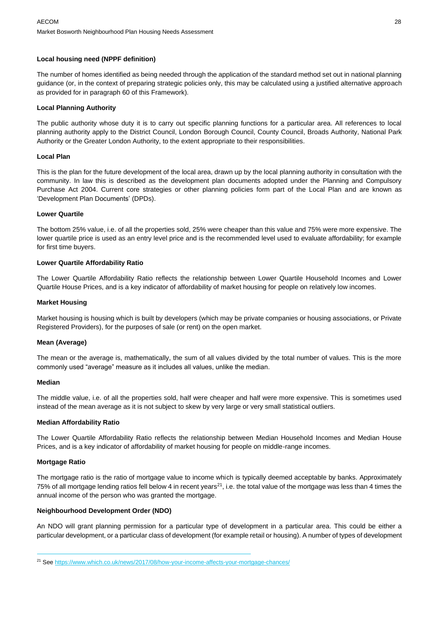#### **Local housing need (NPPF definition)**

The number of homes identified as being needed through the application of the standard method set out in national planning guidance (or, in the context of preparing strategic policies only, this may be calculated using a justified alternative approach as provided for in paragraph 60 of this Framework).

#### **Local Planning Authority**

The public authority whose duty it is to carry out specific planning functions for a particular area. All references to local planning authority apply to the District Council, London Borough Council, County Council, Broads Authority, National Park Authority or the Greater London Authority, to the extent appropriate to their responsibilities.

#### **Local Plan**

This is the plan for the future development of the local area, drawn up by the local planning authority in consultation with the community. In law this is described as the development plan documents adopted under the Planning and Compulsory Purchase Act 2004. Current core strategies or other planning policies form part of the Local Plan and are known as 'Development Plan Documents' (DPDs).

#### **Lower Quartile**

The bottom 25% value, i.e. of all the properties sold, 25% were cheaper than this value and 75% were more expensive. The lower quartile price is used as an entry level price and is the recommended level used to evaluate affordability; for example for first time buyers.

#### **Lower Quartile Affordability Ratio**

The Lower Quartile Affordability Ratio reflects the relationship between Lower Quartile Household Incomes and Lower Quartile House Prices, and is a key indicator of affordability of market housing for people on relatively low incomes.

#### **Market Housing**

Market housing is housing which is built by developers (which may be private companies or housing associations, or Private Registered Providers), for the purposes of sale (or rent) on the open market.

#### **Mean (Average)**

The mean or the average is, mathematically, the sum of all values divided by the total number of values. This is the more commonly used "average" measure as it includes all values, unlike the median.

#### **Median**

The middle value, i.e. of all the properties sold, half were cheaper and half were more expensive. This is sometimes used instead of the mean average as it is not subject to skew by very large or very small statistical outliers.

#### **Median Affordability Ratio**

The Lower Quartile Affordability Ratio reflects the relationship between Median Household Incomes and Median House Prices, and is a key indicator of affordability of market housing for people on middle-range incomes.

#### **Mortgage Ratio**

The mortgage ratio is the ratio of mortgage value to income which is typically deemed acceptable by banks. Approximately 75% of all mortgage lending ratios fell below 4 in recent years $^{21}$ , i.e. the total value of the mortgage was less than 4 times the annual income of the person who was granted the mortgage.

#### **Neighbourhood Development Order (NDO)**

An NDO will grant planning permission for a particular type of development in a particular area. This could be either a particular development, or a particular class of development (for example retail or housing). A number of types of development

<sup>&</sup>lt;sup>21</sup> See<https://www.which.co.uk/news/2017/08/how-your-income-affects-your-mortgage-chances/>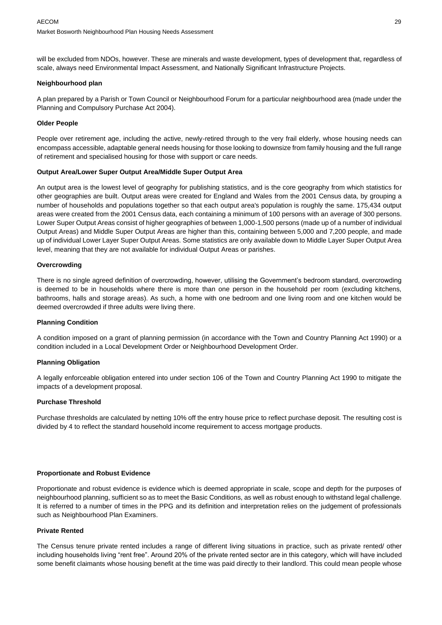will be excluded from NDOs, however. These are minerals and waste development, types of development that, regardless of scale, always need Environmental Impact Assessment, and Nationally Significant Infrastructure Projects.

#### **Neighbourhood plan**

A plan prepared by a Parish or Town Council or Neighbourhood Forum for a particular neighbourhood area (made under the Planning and Compulsory Purchase Act 2004).

#### **Older People**

People over retirement age, including the active, newly-retired through to the very frail elderly, whose housing needs can encompass accessible, adaptable general needs housing for those looking to downsize from family housing and the full range of retirement and specialised housing for those with support or care needs.

#### **Output Area/Lower Super Output Area/Middle Super Output Area**

An output area is the lowest level of geography for publishing statistics, and is the core geography from which statistics for other geographies are built. Output areas were created for England and Wales from the 2001 Census data, by grouping a number of households and populations together so that each output area's population is roughly the same. 175,434 output areas were created from the 2001 Census data, each containing a minimum of 100 persons with an average of 300 persons. Lower Super Output Areas consist of higher geographies of between 1,000-1,500 persons (made up of a number of individual Output Areas) and Middle Super Output Areas are higher than this, containing between 5,000 and 7,200 people, and made up of individual Lower Layer Super Output Areas. Some statistics are only available down to Middle Layer Super Output Area level, meaning that they are not available for individual Output Areas or parishes.

#### **Overcrowding**

There is no single agreed definition of overcrowding, however, utilising the Government's bedroom standard, overcrowding is deemed to be in households where there is more than one person in the household per room (excluding kitchens, bathrooms, halls and storage areas). As such, a home with one bedroom and one living room and one kitchen would be deemed overcrowded if three adults were living there.

#### **Planning Condition**

A condition imposed on a grant of planning permission (in accordance with the Town and Country Planning Act 1990) or a condition included in a Local Development Order or Neighbourhood Development Order.

#### **Planning Obligation**

A legally enforceable obligation entered into under section 106 of the Town and Country Planning Act 1990 to mitigate the impacts of a development proposal.

#### **Purchase Threshold**

Purchase thresholds are calculated by netting 10% off the entry house price to reflect purchase deposit. The resulting cost is divided by 4 to reflect the standard household income requirement to access mortgage products.

#### **Proportionate and Robust Evidence**

Proportionate and robust evidence is evidence which is deemed appropriate in scale, scope and depth for the purposes of neighbourhood planning, sufficient so as to meet the Basic Conditions, as well as robust enough to withstand legal challenge. It is referred to a number of times in the PPG and its definition and interpretation relies on the judgement of professionals such as Neighbourhood Plan Examiners.

#### **Private Rented**

The Census tenure private rented includes a range of different living situations in practice, such as private rented/ other including households living "rent free". Around 20% of the private rented sector are in this category, which will have included some benefit claimants whose housing benefit at the time was paid directly to their landlord. This could mean people whose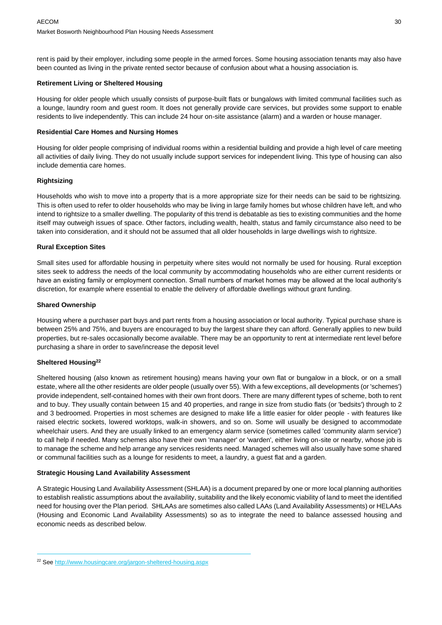rent is paid by their employer, including some people in the armed forces. Some housing association tenants may also have been counted as living in the private rented sector because of confusion about what a housing association is.

#### **Retirement Living or Sheltered Housing**

Housing for older people which usually consists of purpose-built flats or bungalows with limited communal facilities such as a lounge, laundry room and guest room. It does not generally provide care services, but provides some support to enable residents to live independently. This can include 24 hour on-site assistance (alarm) and a warden or house manager.

#### **Residential Care Homes and Nursing Homes**

Housing for older people comprising of individual rooms within a residential building and provide a high level of care meeting all activities of daily living. They do not usually include support services for independent living. This type of housing can also include dementia care homes.

#### **Rightsizing**

Households who wish to move into a property that is a more appropriate size for their needs can be said to be rightsizing. This is often used to refer to older households who may be living in large family homes but whose children have left, and who intend to rightsize to a smaller dwelling. The popularity of this trend is debatable as ties to existing communities and the home itself may outweigh issues of space. Other factors, including wealth, health, status and family circumstance also need to be taken into consideration, and it should not be assumed that all older households in large dwellings wish to rightsize.

#### **Rural Exception Sites**

Small sites used for affordable housing in perpetuity where sites would not normally be used for housing. Rural exception sites seek to address the needs of the local community by accommodating households who are either current residents or have an existing family or employment connection. Small numbers of market homes may be allowed at the local authority's discretion, for example where essential to enable the delivery of affordable dwellings without grant funding.

#### **Shared Ownership**

Housing where a purchaser part buys and part rents from a housing association or local authority. Typical purchase share is between 25% and 75%, and buyers are encouraged to buy the largest share they can afford. Generally applies to new build properties, but re‐sales occasionally become available. There may be an opportunity to rent at intermediate rent level before purchasing a share in order to save/increase the deposit level

#### **Sheltered Housing<sup>22</sup>**

Sheltered housing (also known as retirement housing) means having your own flat or bungalow in a block, or on a small estate, where all the other residents are older people (usually over 55). With a few exceptions, all developments (or 'schemes') provide independent, self-contained homes with their own front doors. There are many different types of scheme, both to rent and to buy. They usually contain between 15 and 40 properties, and range in size from studio flats (or 'bedsits') through to 2 and 3 bedroomed. Properties in most schemes are designed to make life a little easier for older people - with features like raised electric sockets, lowered worktops, walk-in showers, and so on. Some will usually be designed to accommodate wheelchair users. And they are usually linked to an emergency alarm service (sometimes called 'community alarm service') to call help if needed. Many schemes also have their own 'manager' or 'warden', either living on-site or nearby, whose job is to manage the scheme and help arrange any services residents need. Managed schemes will also usually have some shared or communal facilities such as a lounge for residents to meet, a laundry, a guest flat and a garden.

#### **Strategic Housing Land Availability Assessment**

A Strategic Housing Land Availability Assessment (SHLAA) is a document prepared by one or more local planning authorities to establish realistic assumptions about the availability, suitability and the likely economic viability of land to meet the identified need for housing over the Plan period. SHLAAs are sometimes also called LAAs (Land Availability Assessments) or HELAAs (Housing and Economic Land Availability Assessments) so as to integrate the need to balance assessed housing and economic needs as described below.

<sup>&</sup>lt;sup>22</sup> See<http://www.housingcare.org/jargon-sheltered-housing.aspx>